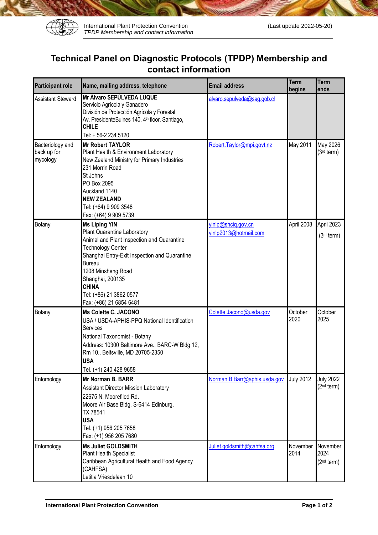

## **Technical Panel on Diagnostic Protocols (TPDP) Membership and contact information**

| <b>Participant role</b>                     | Name, mailing address, telephone                                                                                                                                                                                                                                                                                | <b>Email address</b>                        | Term<br>begins   | <b>Term</b><br>ends                        |
|---------------------------------------------|-----------------------------------------------------------------------------------------------------------------------------------------------------------------------------------------------------------------------------------------------------------------------------------------------------------------|---------------------------------------------|------------------|--------------------------------------------|
| <b>Assistant Steward</b>                    | Mr Álvaro SEPÚLVEDA LUQUE<br>Servicio Agrícola y Ganadero<br>División de Protección Agrícola y Forestal<br>Av. PresidenteBulnes 140, 4 <sup>th</sup> floor, Santiago,<br><b>CHILE</b><br>Tel: +56-2 234 5120                                                                                                    | alvaro.sepulveda@sag.gob.cl                 |                  |                                            |
| Bacteriology and<br>back up for<br>mycology | <b>Mr Robert TAYLOR</b><br>Plant Health & Environment Laboratory<br>New Zealand Ministry for Primary Industries<br>231 Morrin Road<br>St Johns<br>PO Box 2095<br>Auckland 1140<br><b>NEW ZEALAND</b><br>Tel: (+64) 9 909 3548<br>Fax: (+64) 9 909 5739                                                          | Robert.Taylor@mpi.govt.nz                   | May 2011         | May 2026<br>$(3rd$ term)                   |
| Botany                                      | <b>Ms Liping YIN</b><br>Plant Quarantine Laboratory<br>Animal and Plant Inspection and Quarantine<br><b>Technology Center</b><br>Shanghai Entry-Exit Inspection and Quarantine<br><b>Bureau</b><br>1208 Minsheng Road<br>Shanghai, 200135<br><b>CHINA</b><br>Tel: (+86) 21 3862 0577<br>Fax: (+86) 21 6854 6481 | yinlp@shciq.gov.cn<br>yinlp2013@hotmail.com | April 2008       | April 2023<br>$(3rd$ term)                 |
| Botany                                      | Ms Colette C. JACONO<br>USA / USDA-APHIS-PPQ National Identification<br>Services<br>National Taxonomist - Botany<br>Address: 10300 Baltimore Ave., BARC-W Bldg 12,<br>Rm 10., Beltsville, MD 20705-2350<br><b>USA</b><br>Tel. (+1) 240 428 9658                                                                 | Colette.Jacono@usda.gov                     | October<br>2020  | October<br>2025                            |
| Entomology                                  | <b>Mr Norman B. BARR</b><br><b>Assistant Director Mission Laboratory</b><br>22675 N. Moorefiled Rd.<br>Moore Air Base Bldg. S-6414 Edinburg,<br>TX 78541<br><b>USA</b><br>Tel. (+1) 956 205 7658<br>Fax: (+1) 956 205 7680                                                                                      | Norman.B.Barr@aphis.usda.gov                | <b>July 2012</b> | <b>July 2022</b><br>(2 <sup>nd</sup> term) |
| Entomology                                  | <b>Ms Juliet GOLDSMITH</b><br><b>Plant Health Specialist</b><br>Caribbean Agricultural Health and Food Agency<br>(CAHFSA)<br>Letitia Vriesdelaan 10                                                                                                                                                             | Juliet.goldsmith@cahfsa.org                 | November<br>2014 | November<br>2024<br>(2 <sup>nd</sup> term) |